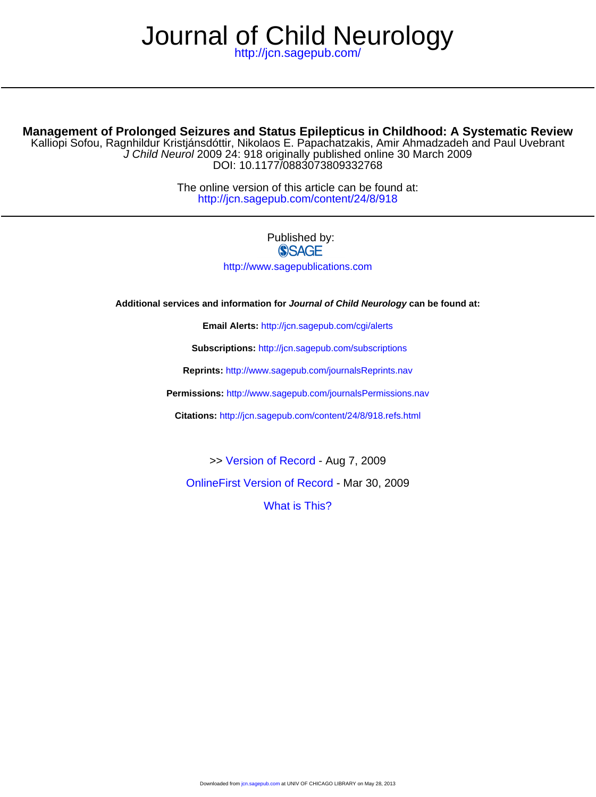# Journal of Child Neurology

<http://jcn.sagepub.com/>

### **Management of Prolonged Seizures and Status Epilepticus in Childhood: A Systematic Review**

DOI: 10.1177/0883073809332768 J Child Neurol 2009 24: 918 originally published online 30 March 2009 Kalliopi Sofou, Ragnhildur Kristjánsdóttir, Nikolaos E. Papachatzakis, Amir Ahmadzadeh and Paul Uvebrant

> <http://jcn.sagepub.com/content/24/8/918> The online version of this article can be found at:

## Published by: **SSAGE** <http://www.sagepublications.com>

**Additional services and information for Journal of Child Neurology can be found at:**

**Email Alerts:** <http://jcn.sagepub.com/cgi/alerts>

**Subscriptions:** <http://jcn.sagepub.com/subscriptions>

**Reprints:** <http://www.sagepub.com/journalsReprints.nav>

**Permissions:** <http://www.sagepub.com/journalsPermissions.nav>

**Citations:** <http://jcn.sagepub.com/content/24/8/918.refs.html>

>> [Version of Record -](http://jcn.sagepub.com/content/24/8/918.full.pdf) Aug 7, 2009

[OnlineFirst Version of Record](http://jcn.sagepub.com/content/early/2009/03/30/0883073809332768.full.pdf) - Mar 30, 2009

[What is This?](http://online.sagepub.com/site/sphelp/vorhelp.xhtml)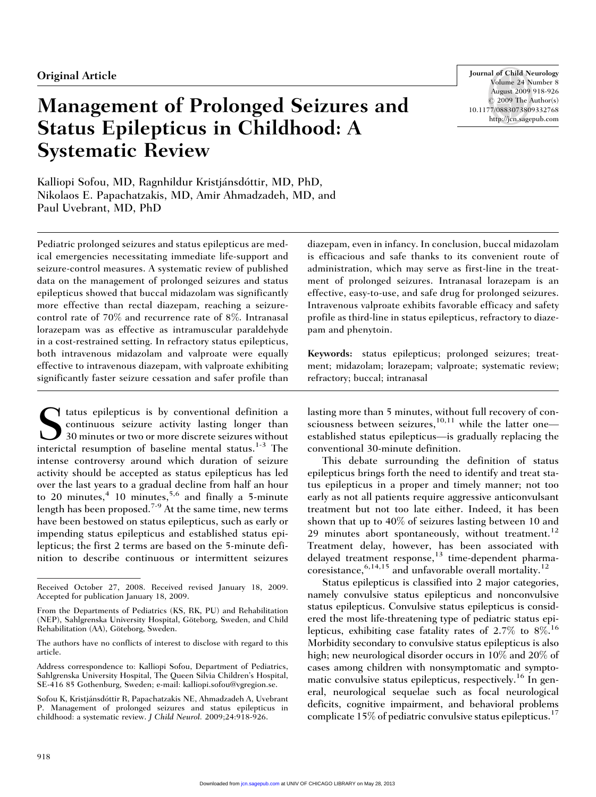# Management of Prolonged Seizures and Status Epilepticus in Childhood: A Systematic Review

Kalliopi Sofou, MD, Ragnhildur Kristjánsdóttir, MD, PhD, Nikolaos E. Papachatzakis, MD, Amir Ahmadzadeh, MD, and Paul Uvebrant, MD, PhD

Pediatric prolonged seizures and status epilepticus are medical emergencies necessitating immediate life-support and seizure-control measures. A systematic review of published data on the management of prolonged seizures and status epilepticus showed that buccal midazolam was significantly more effective than rectal diazepam, reaching a seizurecontrol rate of 70% and recurrence rate of 8%. Intranasal lorazepam was as effective as intramuscular paraldehyde in a cost-restrained setting. In refractory status epilepticus, both intravenous midazolam and valproate were equally effective to intravenous diazepam, with valproate exhibiting significantly faster seizure cessation and safer profile than

Status epilepticus is by conventional definition a<br>continuous seizure activity lasting longer than<br>30 minutes or two or more discrete seizures without<br>interictal resumption of baseline mental status.<sup>1-3</sup> The continuous seizure activity lasting longer than 30 minutes or two or more discrete seizures without interictal resumption of baseline mental status.<sup>1-3</sup> The intense controversy around which duration of seizure activity should be accepted as status epilepticus has led over the last years to a gradual decline from half an hour to 20 minutes, $4 \times 10$  minutes, $5,6$  and finally a 5-minute length has been proposed.<sup>7-9</sup> At the same time, new terms have been bestowed on status epilepticus, such as early or impending status epilepticus and established status epilepticus; the first 2 terms are based on the 5-minute definition to describe continuous or intermittent seizures

Journal of Child Neurology Volume 24 Number 8 August 2009 918-926  $\odot$  2009 The Author(s) 10.1177/0883073809332768 http://jcn.sagepub.com

diazepam, even in infancy. In conclusion, buccal midazolam is efficacious and safe thanks to its convenient route of administration, which may serve as first-line in the treatment of prolonged seizures. Intranasal lorazepam is an effective, easy-to-use, and safe drug for prolonged seizures. Intravenous valproate exhibits favorable efficacy and safety profile as third-line in status epilepticus, refractory to diazepam and phenytoin.

Keywords: status epilepticus; prolonged seizures; treatment; midazolam; lorazepam; valproate; systematic review; refractory; buccal; intranasal

lasting more than 5 minutes, without full recovery of consciousness between seizures,<sup>10,11</sup> while the latter oneestablished status epilepticus—is gradually replacing the conventional 30-minute definition.

This debate surrounding the definition of status epilepticus brings forth the need to identify and treat status epilepticus in a proper and timely manner; not too early as not all patients require aggressive anticonvulsant treatment but not too late either. Indeed, it has been shown that up to 40% of seizures lasting between 10 and 29 minutes abort spontaneously, without treatment.<sup>12</sup> Treatment delay, however, has been associated with delayed treatment response,<sup>13</sup> time-dependent pharmacoresistance,  $6,14,15$  and unfavorable overall mortality.<sup>12</sup>

Status epilepticus is classified into 2 major categories, namely convulsive status epilepticus and nonconvulsive status epilepticus. Convulsive status epilepticus is considered the most life-threatening type of pediatric status epilepticus, exhibiting case fatality rates of 2.7% to  $8\%$ .<sup>16</sup> Morbidity secondary to convulsive status epilepticus is also high; new neurological disorder occurs in 10% and 20% of cases among children with nonsymptomatic and symptomatic convulsive status epilepticus, respectively.<sup>16</sup> In general, neurological sequelae such as focal neurological deficits, cognitive impairment, and behavioral problems complicate 15% of pediatric convulsive status epilepticus.<sup>17</sup>

Received October 27, 2008. Received revised January 18, 2009. Accepted for publication January 18, 2009.

From the Departments of Pediatrics (KS, RK, PU) and Rehabilitation (NEP), Sahlgrenska University Hospital, Göteborg, Sweden, and Child Rehabilitation (AA), Göteborg, Sweden.

The authors have no conflicts of interest to disclose with regard to this article.

Address correspondence to: Kalliopi Sofou, Department of Pediatrics, Sahlgrenska University Hospital, The Queen Silvia Children's Hospital, SE-416 85 Gothenburg, Sweden; e-mail: kalliopi.sofou@vgregion.se.

Sofou K, Kristjánsdóttir R, Papachatzakis NE, Ahmadzadeh A, Uvebrant P. Management of prolonged seizures and status epilepticus in childhood: a systematic review. J Child Neurol. 2009;24:918-926.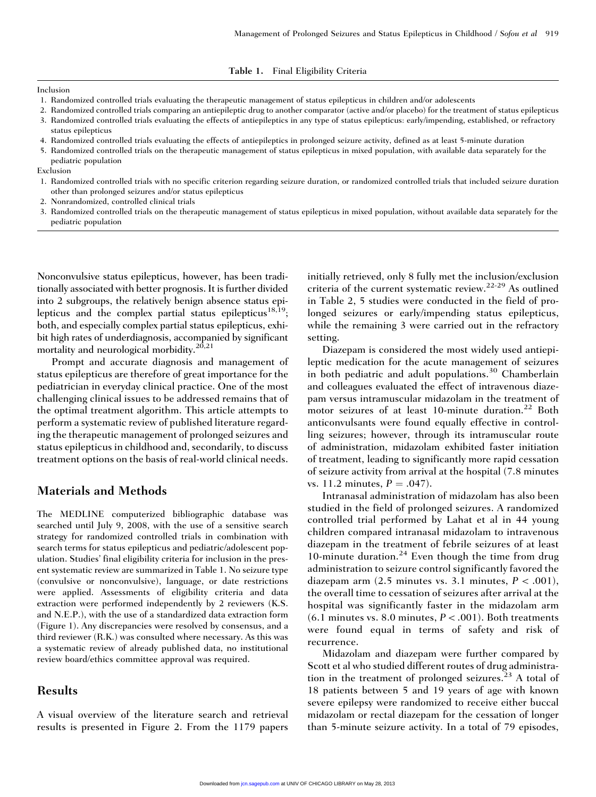Table 1. Final Eligibility Criteria

- Inclusion
- 1. Randomized controlled trials evaluating the therapeutic management of status epilepticus in children and/or adolescents
- 2. Randomized controlled trials comparing an antiepileptic drug to another comparator (active and/or placebo) for the treatment of status epilepticus 3. Randomized controlled trials evaluating the effects of antiepileptics in any type of status epilepticus: early/impending, established, or refractory status epilepticus
- 4. Randomized controlled trials evaluating the effects of antiepileptics in prolonged seizure activity, defined as at least 5-minute duration
- 5. Randomized controlled trials on the therapeutic management of status epilepticus in mixed population, with available data separately for the pediatric population

Exclusion

- 1. Randomized controlled trials with no specific criterion regarding seizure duration, or randomized controlled trials that included seizure duration other than prolonged seizures and/or status epilepticus
- 2. Nonrandomized, controlled clinical trials
- 3. Randomized controlled trials on the therapeutic management of status epilepticus in mixed population, without available data separately for the pediatric population

Nonconvulsive status epilepticus, however, has been traditionally associated with better prognosis. It is further divided into 2 subgroups, the relatively benign absence status epilepticus and the complex partial status epilepticus<sup>18,19</sup>; both, and especially complex partial status epilepticus, exhibit high rates of underdiagnosis, accompanied by significant mortality and neurological morbidity.<sup>20,21</sup>

Prompt and accurate diagnosis and management of status epilepticus are therefore of great importance for the pediatrician in everyday clinical practice. One of the most challenging clinical issues to be addressed remains that of the optimal treatment algorithm. This article attempts to perform a systematic review of published literature regarding the therapeutic management of prolonged seizures and status epilepticus in childhood and, secondarily, to discuss treatment options on the basis of real-world clinical needs.

#### Materials and Methods

The MEDLINE computerized bibliographic database was searched until July 9, 2008, with the use of a sensitive search strategy for randomized controlled trials in combination with search terms for status epilepticus and pediatric/adolescent population. Studies' final eligibility criteria for inclusion in the present systematic review are summarized in Table 1. No seizure type (convulsive or nonconvulsive), language, or date restrictions were applied. Assessments of eligibility criteria and data extraction were performed independently by 2 reviewers (K.S. and N.E.P.), with the use of a standardized data extraction form (Figure 1). Any discrepancies were resolved by consensus, and a third reviewer (R.K.) was consulted where necessary. As this was a systematic review of already published data, no institutional review board/ethics committee approval was required.

#### Results

A visual overview of the literature search and retrieval results is presented in Figure 2. From the 1179 papers

initially retrieved, only 8 fully met the inclusion/exclusion criteria of the current systematic review.22-29 As outlined in Table 2, 5 studies were conducted in the field of prolonged seizures or early/impending status epilepticus, while the remaining 3 were carried out in the refractory setting.

Diazepam is considered the most widely used antiepileptic medication for the acute management of seizures in both pediatric and adult populations.<sup>30</sup> Chamberlain and colleagues evaluated the effect of intravenous diazepam versus intramuscular midazolam in the treatment of motor seizures of at least 10-minute duration.<sup>22</sup> Both anticonvulsants were found equally effective in controlling seizures; however, through its intramuscular route of administration, midazolam exhibited faster initiation of treatment, leading to significantly more rapid cessation of seizure activity from arrival at the hospital (7.8 minutes vs. 11.2 minutes,  $P = .047$ ).

Intranasal administration of midazolam has also been studied in the field of prolonged seizures. A randomized controlled trial performed by Lahat et al in 44 young children compared intranasal midazolam to intravenous diazepam in the treatment of febrile seizures of at least 10-minute duration. $^{24}$  Even though the time from drug administration to seizure control significantly favored the diazepam arm  $(2.5 \text{ minutes vs. } 3.1 \text{ minutes}, P < .001)$ , the overall time to cessation of seizures after arrival at the hospital was significantly faster in the midazolam arm  $(6.1 \text{ minutes vs. } 8.0 \text{ minutes}, P < .001)$ . Both treatments were found equal in terms of safety and risk of recurrence.

Midazolam and diazepam were further compared by Scott et al who studied different routes of drug administration in the treatment of prolonged seizures.<sup>23</sup> A total of 18 patients between 5 and 19 years of age with known severe epilepsy were randomized to receive either buccal midazolam or rectal diazepam for the cessation of longer than 5-minute seizure activity. In a total of 79 episodes,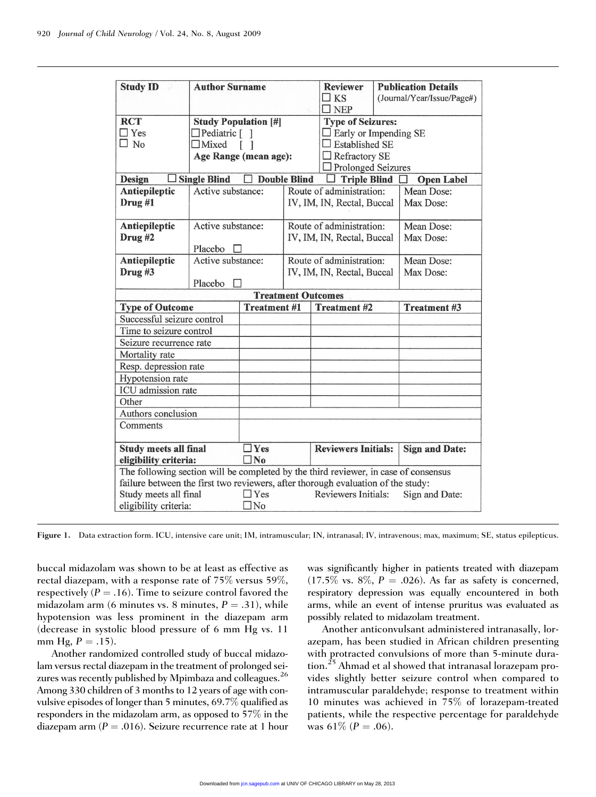| <b>Study ID</b>                                                                     | <b>Author Surname</b>       |                     |                           | <b>Reviewer</b><br>$\square$ KS | <b>Publication Details</b><br>(Journal/Year/Issue/Page#) |
|-------------------------------------------------------------------------------------|-----------------------------|---------------------|---------------------------|---------------------------------|----------------------------------------------------------|
|                                                                                     |                             |                     |                           | $\square$ NEP                   |                                                          |
| <b>RCT</b>                                                                          | <b>Study Population [#]</b> |                     |                           | <b>Type of Seizures:</b>        |                                                          |
| $\Box$ Yes                                                                          | $\Box$ Pediatric $\Box$     | -1                  |                           | $\square$ Early or Impending SE |                                                          |
| $\square$ No                                                                        | $\Box$ Mixed                | ı<br>Ł              |                           | $\Box$ Established SE           |                                                          |
|                                                                                     | Age Range (mean age):       |                     |                           | Refractory SE                   |                                                          |
|                                                                                     |                             |                     |                           | $\Box$ Prolonged Seizures       |                                                          |
| <b>Design</b>                                                                       | <b>Single Blind</b>         |                     | <b>Double Blind</b>       | <b>Triple Blind</b>             | <b>Open Label</b>                                        |
| Antiepileptic                                                                       | Active substance:           |                     |                           | Route of administration:        | Mean Dose:                                               |
| Drug #1                                                                             |                             |                     |                           | IV, IM, IN, Rectal, Buccal      | Max Dose:                                                |
|                                                                                     |                             |                     |                           |                                 |                                                          |
| Antiepileptic                                                                       | Active substance:           |                     |                           | Route of administration:        | Mean Dose:                                               |
| Drug <sub>#2</sub>                                                                  |                             |                     |                           | IV, IM, IN, Rectal, Buccal      | Max Dose:                                                |
|                                                                                     | Placebo                     |                     |                           |                                 |                                                          |
| Antiepileptic                                                                       | Active substance:           |                     |                           | Route of administration:        | Mean Dose:                                               |
| Drug#3                                                                              |                             |                     |                           | IV, IM, IN, Rectal, Buccal      | Max Dose:                                                |
|                                                                                     | Placebo                     |                     | <b>Treatment Outcomes</b> |                                 |                                                          |
| <b>Type of Outcome</b>                                                              |                             | <b>Treatment #1</b> |                           | <b>Treatment #2</b>             | <b>Treatment #3</b>                                      |
| Successful seizure control                                                          |                             |                     |                           |                                 |                                                          |
| Time to seizure control                                                             |                             |                     |                           |                                 |                                                          |
| Seizure recurrence rate                                                             |                             |                     |                           |                                 |                                                          |
| Mortality rate                                                                      |                             |                     |                           |                                 |                                                          |
| Resp. depression rate                                                               |                             |                     |                           |                                 |                                                          |
| Hypotension rate                                                                    |                             |                     |                           |                                 |                                                          |
| ICU admission rate                                                                  |                             |                     |                           |                                 |                                                          |
| Other                                                                               |                             |                     |                           |                                 |                                                          |
| Authors conclusion                                                                  |                             |                     |                           |                                 |                                                          |
| Comments                                                                            |                             |                     |                           |                                 |                                                          |
|                                                                                     |                             |                     |                           |                                 |                                                          |
| <b>Study meets all final</b>                                                        |                             | $\Box$ Yes          |                           | <b>Reviewers Initials:</b>      | <b>Sign and Date:</b>                                    |
| eligibility criteria:                                                               |                             | $\square$ No        |                           |                                 |                                                          |
| The following section will be completed by the third reviewer, in case of consensus |                             |                     |                           |                                 |                                                          |
| failure between the first two reviewers, after thorough evaluation of the study:    |                             |                     |                           |                                 |                                                          |
| Study meets all final                                                               |                             | $\Box$ Yes          |                           | Reviewers Initials:             | Sign and Date:                                           |
| eligibility criteria:                                                               |                             | $\square$ No        |                           |                                 |                                                          |

Figure 1. Data extraction form. ICU, intensive care unit; IM, intramuscular; IN, intranasal; IV, intravenous; max, maximum; SE, status epilepticus.

buccal midazolam was shown to be at least as effective as rectal diazepam, with a response rate of 75% versus 59%, respectively ( $P = .16$ ). Time to seizure control favored the midazolam arm (6 minutes vs. 8 minutes,  $P = .31$ ), while hypotension was less prominent in the diazepam arm (decrease in systolic blood pressure of 6 mm Hg vs. 11 mm Hg,  $P = .15$ ).

Another randomized controlled study of buccal midazolam versus rectal diazepam in the treatment of prolonged seizures was recently published by Mpimbaza and colleagues.<sup>26</sup> Among 330 children of 3 months to 12 years of age with convulsive episodes of longer than 5 minutes, 69.7% qualified as responders in the midazolam arm, as opposed to 57% in the diazepam arm ( $P = .016$ ). Seizure recurrence rate at 1 hour was significantly higher in patients treated with diazepam  $(17.5\% \text{ vs. } 8\%, P = .026)$ . As far as safety is concerned, respiratory depression was equally encountered in both arms, while an event of intense pruritus was evaluated as possibly related to midazolam treatment.

Another anticonvulsant administered intranasally, lorazepam, has been studied in African children presenting with protracted convulsions of more than 5-minute duration.<sup>25</sup> Ahmad et al showed that intranasal lorazepam provides slightly better seizure control when compared to intramuscular paraldehyde; response to treatment within 10 minutes was achieved in 75% of lorazepam-treated patients, while the respective percentage for paraldehyde was 61\%  $(P = .06)$ .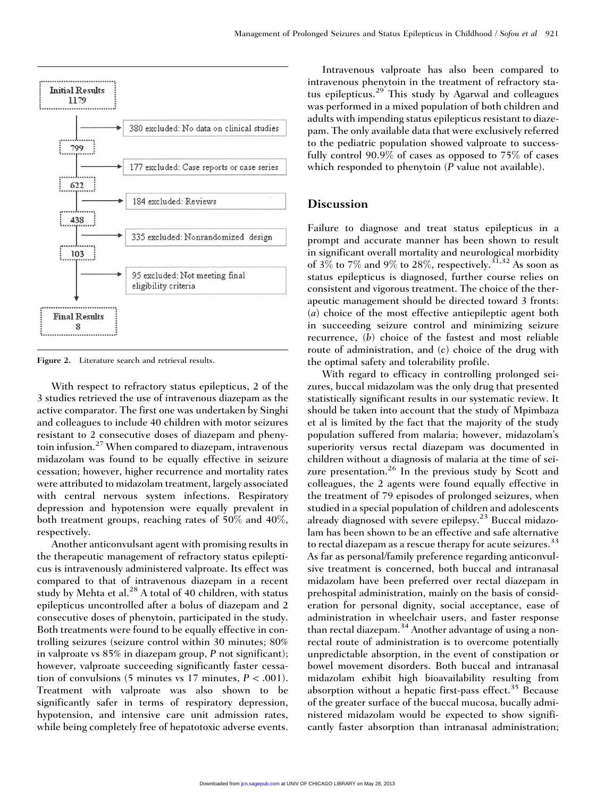

Figure 2. Literature search and retrieval results.

With respect to refractory status epilepticus, 2 of the 3 studies retrieved the use of intravenous diazepam as the active comparator. The first one was undertaken by Singhi and colleagues to include 40 children with motor seizures resistant to 2 consecutive doses of diazepam and phenytoin infusion.<sup>27</sup> When compared to diazepam, intravenous midazolam was found to be equally effective in seizure cessation; however, higher recurrence and mortality rates were attributed to midazolam treatment, largely associated with central nervous system infections. Respiratory depression and hypotension were equally prevalent in both treatment groups, reaching rates of 50% and 40%, respectively.

Another anticonvulsant agent with promising results in the therapeutic management of refractory status epilepticus is intravenously administered valproate. Its effect was compared to that of intravenous diazepam in a recent study by Mehta et al.<sup>28</sup> A total of 40 children, with status epilepticus uncontrolled after a bolus of diazepam and 2 consecutive doses of phenytoin, participated in the study. Both treatments were found to be equally effective in controlling seizures (seizure control within 30 minutes; 80% in valproate vs 85% in diazepam group, P not significant); however, valproate succeeding significantly faster cessation of convulsions (5 minutes vs 17 minutes,  $P < .001$ ). Treatment with valproate was also shown to be significantly safer in terms of respiratory depression, hypotension, and intensive care unit admission rates, while being completely free of hepatotoxic adverse events.

Intravenous valproate has also been compared to intravenous phenytoin in the treatment of refractory status epilepticus. $29$  This study by Agarwal and colleagues was performed in a mixed population of both children and adults with impending status epilepticus resistant to diazepam. The only available data that were exclusively referred to the pediatric population showed valproate to successfully control 90.9% of cases as opposed to 75% of cases which responded to phenytoin (P value not available).

#### Discussion

Failure to diagnose and treat status epilepticus in a prompt and accurate manner has been shown to result in significant overall mortality and neurological morbidity of  $3\%$  to 7% and 9% to 28%, respectively.<sup>31,32</sup> As soon as status epilepticus is diagnosed, further course relies on consistent and vigorous treatment. The choice of the therapeutic management should be directed toward 3 fronts: (a) choice of the most effective antiepileptic agent both in succeeding seizure control and minimizing seizure recurrence, (b) choice of the fastest and most reliable route of administration, and (c) choice of the drug with the optimal safety and tolerability profile.

With regard to efficacy in controlling prolonged seizures, buccal midazolam was the only drug that presented statistically significant results in our systematic review. It should be taken into account that the study of Mpimbaza et al is limited by the fact that the majority of the study population suffered from malaria; however, midazolam's superiority versus rectal diazepam was documented in children without a diagnosis of malaria at the time of seizure presentation. $26$  In the previous study by Scott and colleagues, the 2 agents were found equally effective in the treatment of 79 episodes of prolonged seizures, when studied in a special population of children and adolescents already diagnosed with severe epilepsy.<sup>23</sup> Buccal midazolam has been shown to be an effective and safe alternative to rectal diazepam as a rescue therapy for acute seizures.<sup>33</sup> As far as personal/family preference regarding anticonvulsive treatment is concerned, both buccal and intranasal midazolam have been preferred over rectal diazepam in prehospital administration, mainly on the basis of consideration for personal dignity, social acceptance, ease of administration in wheelchair users, and faster response than rectal diazepam.<sup>34</sup> Another advantage of using a nonrectal route of administration is to overcome potentially unpredictable absorption, in the event of constipation or bowel movement disorders. Both buccal and intranasal midazolam exhibit high bioavailability resulting from absorption without a hepatic first-pass effect. $35$  Because of the greater surface of the buccal mucosa, bucally administered midazolam would be expected to show significantly faster absorption than intranasal administration;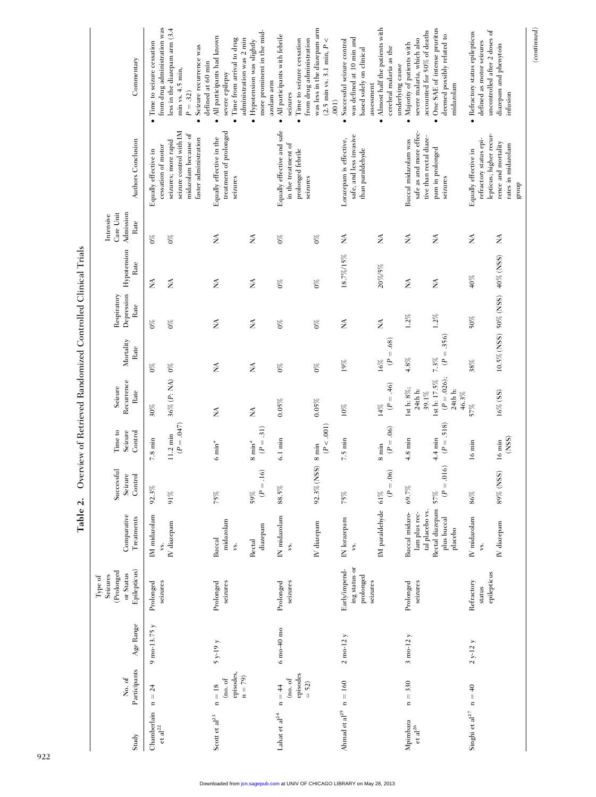Table 2. Overview of Retrieved Randomized Controlled Clinical Trials Table 2. Overview of Retrieved Randomized Controlled Clinical Trials

| Commentary                                                    | from drug administration was<br>Time to seizure cessation | less in the diazepam arm (3.4<br>min vs. 4.5 min.<br>$P = .32$          | Seizure recurrence was<br>defined at 60 min<br>$\bullet$ | All participants had known<br>Time from arrival to drug<br>administration was 2 min<br>severe epilepsy<br>$\bullet$<br>$\bullet$ | more prominent in the mid-<br>Hypotension was slightly<br>azolam arm<br>$\bullet$ | · All participants with febrile<br>Time to seizure cessation<br>from drug administration<br>seizures<br>$\bullet$ | was less in the diazepam arm<br>$(2.5 \text{ min vs. } 3.1 \text{ min}, P <$<br>.001) | was defined at 10 min and<br>Successful seizure control<br>based solely on clinical<br>assessment<br>$\bullet$ | Almost half the patients with<br>cerebral malaria as the<br>underlying cause<br>$\bullet$ | accounted for 50% of deaths<br>severe malaria, which also<br>Majority of patients with<br>$\bullet$ | One SAE of intense pruritus<br>deemed possibly related to<br>midazolam | uncontrolled after 2 doses of<br>· Refractory status epilepticus<br>defined as motor seizures | diazepam and phenytoin<br>infusion                 |
|---------------------------------------------------------------|-----------------------------------------------------------|-------------------------------------------------------------------------|----------------------------------------------------------|----------------------------------------------------------------------------------------------------------------------------------|-----------------------------------------------------------------------------------|-------------------------------------------------------------------------------------------------------------------|---------------------------------------------------------------------------------------|----------------------------------------------------------------------------------------------------------------|-------------------------------------------------------------------------------------------|-----------------------------------------------------------------------------------------------------|------------------------------------------------------------------------|-----------------------------------------------------------------------------------------------|----------------------------------------------------|
| Authors Conclusion                                            | cessation of motor<br>Equally effective in                | seizure control with IM<br>midazolam because of<br>seizures; more rapid | faster administration                                    | treatment of prolonged<br>Equally effective in the<br>seizures                                                                   |                                                                                   | Equally effective and safe<br>in the treatment of<br>prolonged febrile<br>seizures                                |                                                                                       | safe, and less invasive<br>Lorazepam is effective,<br>than paraldehyde                                         |                                                                                           | safe as and more effec-<br>tive than rectal diaze-<br>Buccal midazolam was                          | pam in prolonged<br>seizures                                           | lepticus; higher recur-<br>refractory status epi-<br>Equally effective in                     | rence and mortality<br>rates in midazolam<br>dno.a |
| Care Unit<br>Admission<br>Intensive<br>Rate                   | $0\%$                                                     | $0\%$                                                                   |                                                          | $\lessapprox$                                                                                                                    | Ź                                                                                 | $0\%$                                                                                                             | $0\%$                                                                                 | Ź                                                                                                              | Ź                                                                                         | Ź                                                                                                   | Ź                                                                      | ≨                                                                                             | ₹                                                  |
| Hypotension<br>Rate                                           | Ź                                                         | ≨                                                                       |                                                          | $\lesssim$                                                                                                                       | Ź                                                                                 | $0\%$                                                                                                             | $0\%$                                                                                 | 18.7%/15%                                                                                                      | 20%/5%                                                                                    | Ź                                                                                                   | Ź                                                                      | 40%                                                                                           |                                                    |
| Depression<br>Respiratory<br>Rate                             | $0\%$                                                     | $0\%$                                                                   |                                                          | $\lesssim$                                                                                                                       | Ń                                                                                 | $0\%$                                                                                                             | $0\%$                                                                                 | Ń                                                                                                              | $\tilde{\ge}$                                                                             | $1.2\%$                                                                                             | $1.2\%$                                                                | $50\%$                                                                                        | 10.5% (NSS) 50% (NSS) 40% (NSS)                    |
| Mortality<br>Rate                                             | $6\%$                                                     | $0\%$                                                                   |                                                          | $\lesssim$                                                                                                                       | Ź                                                                                 | $0\%$                                                                                                             | $6\%$                                                                                 | 19%                                                                                                            | $= .68$<br>$\epsilon$<br>16%                                                              | 4.8%                                                                                                | $= .356$<br>$7.3\%$<br>$\theta$                                        | 38%                                                                                           |                                                    |
| Recurrence<br>Seizure<br>Rate                                 | 30%                                                       | 36% (P: NA)                                                             |                                                          | $\lessapprox$                                                                                                                    | Ź                                                                                 | $0.05\%$                                                                                                          | $0.05\%$                                                                              | $10\%$                                                                                                         | $(P = .46)$<br>$14\%$                                                                     | 1st h: $8\%;$<br>24th h:<br>$39.1\%$                                                                | $(P=.026);$<br>$1st$ h: $17.5\%$<br>$24th$ h:<br>46.3%                 | 57%                                                                                           | $16\% (SS)$                                        |
| Time to<br>Seizure<br>Control                                 | $7.8$ min                                                 | $(P = .047)$<br>11.2 min                                                |                                                          | $6 \text{ min}^a$                                                                                                                | $(P = .31)$<br>$8 \text{ min}^a$                                                  | $6.1$ min                                                                                                         | (P < .001)<br>$8 \text{ min}$                                                         | $7.5 \text{ min}$                                                                                              | .06)<br>$(P = 1)$<br>$8 \text{ min}$                                                      | $4.8$ min                                                                                           | $(P = .518)$<br>4.4 min                                                | $16$ min                                                                                      | (NSS)<br>$16 \text{ min}$                          |
| Successful<br>Seizure<br>Control                              | $92.3\%$                                                  | $91\%$                                                                  |                                                          | 75%                                                                                                                              | 16)<br>$(P =$<br>59%                                                              | $88.5\%$                                                                                                          | 92.3% (NSS)                                                                           | 75%                                                                                                            | $(P=.06)$                                                                                 | 69.7%                                                                                               | $(P = .016)$<br>57%                                                    | 86%                                                                                           | 89% (NSS)                                          |
| Comparative<br>Treatments                                     | IM midazolam<br>vs.                                       | IV diazepam                                                             |                                                          | midazolam<br><b>Buccal</b><br>vs.                                                                                                | diazepam<br>Rectal                                                                | IN midazolam<br>vs.                                                                                               | IV diazepam                                                                           | IN lorazepam<br>vs.                                                                                            | IM paraldehyde 61%                                                                        | tal placebo vs.<br>Buccal midazo-<br>lam plus rec-                                                  | Rectal diazepam<br>plus buccal<br>placebo                              | IV midazolam<br>vs.                                                                           | IV diazepam                                        |
| Epilepticus)<br>Prolonged<br>or Status<br>Seizures<br>Type of | seizures<br>Prolonged                                     |                                                                         |                                                          | Prolonged<br>seizures                                                                                                            |                                                                                   | Prolonged<br>seizures                                                                                             |                                                                                       | ing status or<br>Early/impend-<br>prolonged<br>seizures                                                        |                                                                                           | seizures<br>Prolonged                                                                               |                                                                        | epilepticus<br>Refractory<br>status                                                           |                                                    |
| Age Range                                                     | 9 mo-13.75 $y$                                            |                                                                         |                                                          | $5y-19y$                                                                                                                         |                                                                                   | $6 \text{ m}$ o-40 mo                                                                                             |                                                                                       | $2 \text{ mo-}12 \text{ y}$                                                                                    |                                                                                           | $3 \text{ mo-}12 \text{ y}$                                                                         |                                                                        | $2y-12y$                                                                                      |                                                    |
| Participants<br>No. of                                        |                                                           |                                                                         |                                                          | episodes,<br>$n = 79$<br>$(\mathbf{n}\mathbf{o},\,\mathbf{o}\mathbf{f}% _{t})$<br>$n = 18$                                       |                                                                                   | episodes<br>$($ no. of<br>$= 52$<br>$n = 44$                                                                      |                                                                                       |                                                                                                                |                                                                                           | $n = 330$                                                                                           |                                                                        | $n = 40$                                                                                      |                                                    |
| Study                                                         | Chamberlain $n = 24$<br>et al $^{22}$                     |                                                                         |                                                          | Scott et al $^{23}$                                                                                                              |                                                                                   | Lahat et al $^{24}$                                                                                               |                                                                                       | Ahmad et al^25 $\,$ n $=160$                                                                                   |                                                                                           | Mpimbaza<br>${\rm et\;al}^{26}$                                                                     |                                                                        | Singhi et al $^{27}$                                                                          |                                                    |

(continued)

 $\left( contained\right)$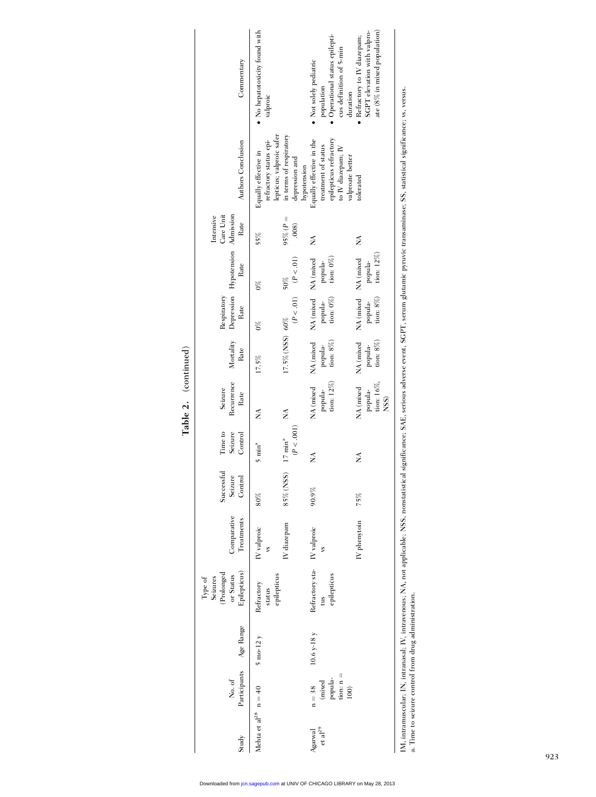Table 2. (continued) Table 2. (continued)

| Participants<br>No. of        | Age Range                   | Epilepticus)<br>(Prolonged<br>or Status<br>Seizures<br>Type of | Comparative<br>Treatments | Successful<br>Seizure<br>Control | Time to<br>Control<br>Seizure | Recurrence<br>Seizure<br>Rate      | Mortality<br>Rate                                     | Respiratory<br>Rate                             | Depression Hypotension Admission<br>Rate                         | Care Unit<br>Intensive<br>Rate | Authors Conclusion                                                         | Commentary                                                             |
|-------------------------------|-----------------------------|----------------------------------------------------------------|---------------------------|----------------------------------|-------------------------------|------------------------------------|-------------------------------------------------------|-------------------------------------------------|------------------------------------------------------------------|--------------------------------|----------------------------------------------------------------------------|------------------------------------------------------------------------|
| $n = 40$                      | $5 \text{ mo-}12 \text{ y}$ | epilepticus<br>Refractory<br>status                            | IV valproic<br>ys         | $80\%$                           | $5 \text{ min}^a$             | Ź                                  | 17.5%                                                 | $\frac{6}{20}$                                  | $\Im$                                                            | 55%                            | lepticus; valproic safer<br>refractory status epi-<br>Equally effective in | • No hepatotoxicity found with<br>valproic                             |
|                               |                             |                                                                | IV diazepam               | 85% (NSS) 17 min <sup>a</sup>    | (P < .001)                    | Ź                                  | 17.5% (NSS) 60%                                       |                                                 | $\left( P < .01 \right) \qquad \left( P < .01 \right)$<br>$50\%$ | $95\% (P =$<br>.008            | in terms of respiratory<br>depression and<br>hypotension                   |                                                                        |
| popula-<br>(mixed<br>$n = 38$ | $10.6$ y-18 y               | Refractory sta- IV valproic<br>epilepticus<br>tus              | ys                        | $90.9\%$                         | Ź                             | NA (mixed<br>tion: 12%)<br>popula- | NA (mixed<br>tion: $8\%$<br>popula-                   | NA (mixed NA (mixed<br>tion: $0\%$ )<br>popula- | tion: $0\%$<br>popula-                                           | Ź                              | Equally effective in the<br>epilepticus refractory<br>treatment of status  | · Operational status epilepti-<br>· Not solely pediatric<br>population |
| $tion: n =$<br>100            |                             |                                                                |                           |                                  |                               |                                    |                                                       |                                                 |                                                                  |                                | to IV diazepam; IV<br>valproate better                                     | cus definition of 5-min<br>duration                                    |
|                               |                             |                                                                | IV phenytoin              | 75%                              | Ź                             | popula-                            | NA (mixed NA (mixed NA (mixed NA (mixed NA<br>popula- | popula-                                         | popula-                                                          |                                | tolerated                                                                  | SGPT elevation with valpro-<br>• Refractory to IV diazepam;            |
|                               |                             |                                                                |                           |                                  |                               | tion: $16\%$ ,<br>NSS)             | tion: $8\%$                                           | tion: $8\%$                                     | tion: $12\%$                                                     |                                |                                                                            | ate (8% in mixed population)                                           |

IM, intramuscular; IN, intranasal; IV, intravenous; NA, not applicable; NSS, nonstatistical significance; SAE, serious adverse event, SGPT, serum glutamic pyruvic transaminase; SS, statistical significance; vs, versus.  $\approx$ , vs, v  $\Xi$  $\ddot{\phantom{0}}$  $\frac{1}{2}$ ne pyruvic 믋 5 υ, 1M, intramuscular; IN, intranasal; IV, intravenous; NA, not applic<br>a. Time to seizure control from drug administration. a. Time to seizure control from drug administration.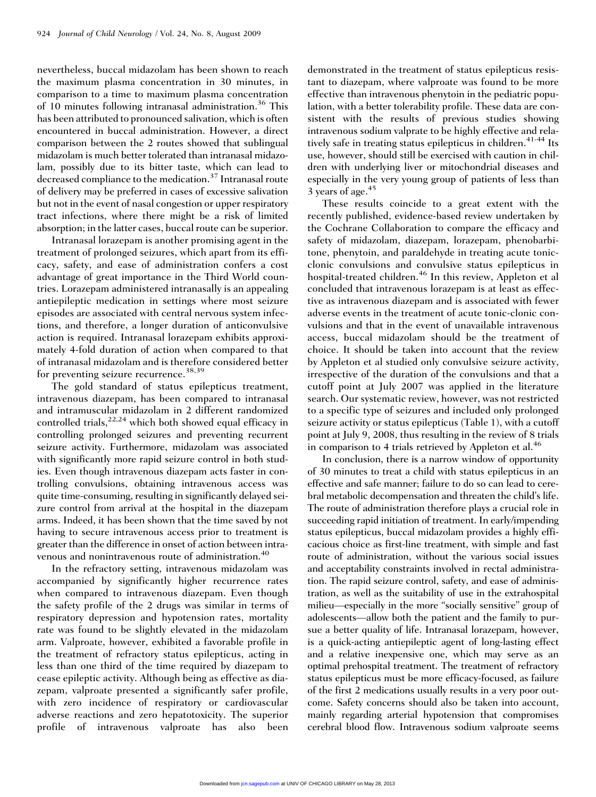nevertheless, buccal midazolam has been shown to reach the maximum plasma concentration in 30 minutes, in comparison to a time to maximum plasma concentration of 10 minutes following intranasal administration.<sup>36</sup> This has been attributed to pronounced salivation, which is often encountered in buccal administration. However, a direct comparison between the 2 routes showed that sublingual midazolam is much better tolerated than intranasal midazolam, possibly due to its bitter taste, which can lead to decreased compliance to the medication.<sup>37</sup> Intranasal route of delivery may be preferred in cases of excessive salivation but not in the event of nasal congestion or upper respiratory tract infections, where there might be a risk of limited absorption; in the latter cases, buccal route can be superior.

Intranasal lorazepam is another promising agent in the treatment of prolonged seizures, which apart from its efficacy, safety, and ease of administration confers a cost advantage of great importance in the Third World countries. Lorazepam administered intranasally is an appealing antiepileptic medication in settings where most seizure episodes are associated with central nervous system infections, and therefore, a longer duration of anticonvulsive action is required. Intranasal lorazepam exhibits approximately 4-fold duration of action when compared to that of intranasal midazolam and is therefore considered better for preventing seizure recurrence.<sup>38,39</sup>

The gold standard of status epilepticus treatment, intravenous diazepam, has been compared to intranasal and intramuscular midazolam in 2 different randomized controlled trials,  $22,24$  which both showed equal efficacy in controlling prolonged seizures and preventing recurrent seizure activity. Furthermore, midazolam was associated with significantly more rapid seizure control in both studies. Even though intravenous diazepam acts faster in controlling convulsions, obtaining intravenous access was quite time-consuming, resulting in significantly delayed seizure control from arrival at the hospital in the diazepam arms. Indeed, it has been shown that the time saved by not having to secure intravenous access prior to treatment is greater than the difference in onset of action between intravenous and nonintravenous route of administration.<sup>40</sup>

In the refractory setting, intravenous midazolam was accompanied by significantly higher recurrence rates when compared to intravenous diazepam. Even though the safety profile of the 2 drugs was similar in terms of respiratory depression and hypotension rates, mortality rate was found to be slightly elevated in the midazolam arm. Valproate, however, exhibited a favorable profile in the treatment of refractory status epilepticus, acting in less than one third of the time required by diazepam to cease epileptic activity. Although being as effective as diazepam, valproate presented a significantly safer profile, with zero incidence of respiratory or cardiovascular adverse reactions and zero hepatotoxicity. The superior profile of intravenous valproate has also been

demonstrated in the treatment of status epilepticus resistant to diazepam, where valproate was found to be more effective than intravenous phenytoin in the pediatric population, with a better tolerability profile. These data are consistent with the results of previous studies showing intravenous sodium valprate to be highly effective and relatively safe in treating status epilepticus in children.<sup>41-44</sup> Its use, however, should still be exercised with caution in children with underlying liver or mitochondrial diseases and especially in the very young group of patients of less than 3 years of age.<sup>45</sup>

These results coincide to a great extent with the recently published, evidence-based review undertaken by the Cochrane Collaboration to compare the efficacy and safety of midazolam, diazepam, lorazepam, phenobarbitone, phenytoin, and paraldehyde in treating acute tonicclonic convulsions and convulsive status epilepticus in hospital-treated children.<sup>46</sup> In this review, Appleton et al concluded that intravenous lorazepam is at least as effective as intravenous diazepam and is associated with fewer adverse events in the treatment of acute tonic-clonic convulsions and that in the event of unavailable intravenous access, buccal midazolam should be the treatment of choice. It should be taken into account that the review by Appleton et al studied only convulsive seizure activity, irrespective of the duration of the convulsions and that a cutoff point at July 2007 was applied in the literature search. Our systematic review, however, was not restricted to a specific type of seizures and included only prolonged seizure activity or status epilepticus (Table 1), with a cutoff point at July 9, 2008, thus resulting in the review of 8 trials in comparison to 4 trials retrieved by Appleton et al.<sup>46</sup>

In conclusion, there is a narrow window of opportunity of 30 minutes to treat a child with status epilepticus in an effective and safe manner; failure to do so can lead to cerebral metabolic decompensation and threaten the child's life. The route of administration therefore plays a crucial role in succeeding rapid initiation of treatment. In early/impending status epilepticus, buccal midazolam provides a highly efficacious choice as first-line treatment, with simple and fast route of administration, without the various social issues and acceptability constraints involved in rectal administration. The rapid seizure control, safety, and ease of administration, as well as the suitability of use in the extrahospital milieu—especially in the more ''socially sensitive'' group of adolescents—allow both the patient and the family to pursue a better quality of life. Intranasal lorazepam, however, is a quick-acting antiepileptic agent of long-lasting effect and a relative inexpensive one, which may serve as an optimal prehospital treatment. The treatment of refractory status epilepticus must be more efficacy-focused, as failure of the first 2 medications usually results in a very poor outcome. Safety concerns should also be taken into account, mainly regarding arterial hypotension that compromises cerebral blood flow. Intravenous sodium valproate seems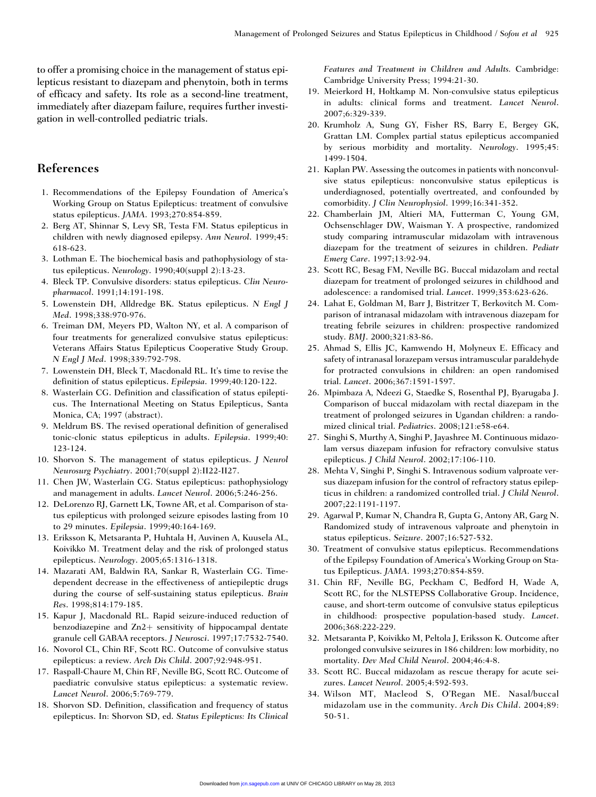to offer a promising choice in the management of status epilepticus resistant to diazepam and phenytoin, both in terms of efficacy and safety. Its role as a second-line treatment, immediately after diazepam failure, requires further investigation in well-controlled pediatric trials.

#### References

- 1. Recommendations of the Epilepsy Foundation of America's Working Group on Status Epilepticus: treatment of convulsive status epilepticus. JAMA. 1993;270:854-859.
- 2. Berg AT, Shinnar S, Levy SR, Testa FM. Status epilepticus in children with newly diagnosed epilepsy. Ann Neurol. 1999;45: 618-623.
- 3. Lothman E. The biochemical basis and pathophysiology of status epilepticus. Neurology. 1990;40(suppl 2):13-23.
- 4. Bleck TP. Convulsive disorders: status epilepticus. Clin Neuropharmacol. 1991;14:191-198.
- 5. Lowenstein DH, Alldredge BK. Status epilepticus. N Engl J Med. 1998;338:970-976.
- 6. Treiman DM, Meyers PD, Walton NY, et al. A comparison of four treatments for generalized convulsive status epilepticus: Veterans Affairs Status Epilepticus Cooperative Study Group. N Engl J Med. 1998;339:792-798.
- 7. Lowenstein DH, Bleck T, Macdonald RL. It's time to revise the definition of status epilepticus. Epilepsia. 1999;40:120-122.
- 8. Wasterlain CG. Definition and classification of status epilepticus. The International Meeting on Status Epilepticus, Santa Monica, CA; 1997 (abstract).
- 9. Meldrum BS. The revised operational definition of generalised tonic-clonic status epilepticus in adults. Epilepsia. 1999;40: 123-124.
- 10. Shorvon S. The management of status epilepticus. J Neurol Neurosurg Psychiatry. 2001;70(suppl 2):II22-II27.
- 11. Chen JW, Wasterlain CG. Status epilepticus: pathophysiology and management in adults. Lancet Neurol. 2006;5:246-256.
- 12. DeLorenzo RJ, Garnett LK, Towne AR, et al. Comparison of status epilepticus with prolonged seizure episodes lasting from 10 to 29 minutes. Epilepsia. 1999;40:164-169.
- 13. Eriksson K, Metsaranta P, Huhtala H, Auvinen A, Kuusela AL, Koivikko M. Treatment delay and the risk of prolonged status epilepticus. Neurology. 2005;65:1316-1318.
- 14. Mazarati AM, Baldwin RA, Sankar R, Wasterlain CG. Timedependent decrease in the effectiveness of antiepileptic drugs during the course of self-sustaining status epilepticus. Brain Res. 1998;814:179-185.
- 15. Kapur J, Macdonald RL. Rapid seizure-induced reduction of benzodiazepine and  $Zn2+$  sensitivity of hippocampal dentate granule cell GABAA receptors. J Neurosci. 1997;17:7532-7540.
- 16. Novorol CL, Chin RF, Scott RC. Outcome of convulsive status epilepticus: a review. Arch Dis Child. 2007;92:948-951.
- 17. Raspall-Chaure M, Chin RF, Neville BG, Scott RC. Outcome of paediatric convulsive status epilepticus: a systematic review. Lancet Neurol. 2006;5:769-779.
- 18. Shorvon SD. Definition, classification and frequency of status epilepticus. In: Shorvon SD, ed. Status Epilepticus: Its Clinical

Features and Treatment in Children and Adults. Cambridge: Cambridge University Press; 1994:21-30.

- 19. Meierkord H, Holtkamp M. Non-convulsive status epilepticus in adults: clinical forms and treatment. Lancet Neurol. 2007;6:329-339.
- 20. Krumholz A, Sung GY, Fisher RS, Barry E, Bergey GK, Grattan LM. Complex partial status epilepticus accompanied by serious morbidity and mortality. Neurology. 1995;45: 1499-1504.
- 21. Kaplan PW. Assessing the outcomes in patients with nonconvulsive status epilepticus: nonconvulsive status epilepticus is underdiagnosed, potentially overtreated, and confounded by comorbidity. J Clin Neurophysiol. 1999;16:341-352.
- 22. Chamberlain JM, Altieri MA, Futterman C, Young GM, Ochsenschlager DW, Waisman Y. A prospective, randomized study comparing intramuscular midazolam with intravenous diazepam for the treatment of seizures in children. Pediatr Emerg Care. 1997;13:92-94.
- 23. Scott RC, Besag FM, Neville BG. Buccal midazolam and rectal diazepam for treatment of prolonged seizures in childhood and adolescence: a randomised trial. Lancet. 1999;353:623-626.
- 24. Lahat E, Goldman M, Barr J, Bistritzer T, Berkovitch M. Comparison of intranasal midazolam with intravenous diazepam for treating febrile seizures in children: prospective randomized study. BMJ. 2000;321:83-86.
- 25. Ahmad S, Ellis JC, Kamwendo H, Molyneux E. Efficacy and safety of intranasal lorazepam versus intramuscular paraldehyde for protracted convulsions in children: an open randomised trial. Lancet. 2006;367:1591-1597.
- 26. Mpimbaza A, Ndeezi G, Staedke S, Rosenthal PJ, Byarugaba J. Comparison of buccal midazolam with rectal diazepam in the treatment of prolonged seizures in Ugandan children: a randomized clinical trial. Pediatrics. 2008;121:e58-e64.
- 27. Singhi S, Murthy A, Singhi P, Jayashree M. Continuous midazolam versus diazepam infusion for refractory convulsive status epilepticus. J Child Neurol. 2002;17:106-110.
- 28. Mehta V, Singhi P, Singhi S. Intravenous sodium valproate versus diazepam infusion for the control of refractory status epilepticus in children: a randomized controlled trial. J Child Neurol. 2007;22:1191-1197.
- 29. Agarwal P, Kumar N, Chandra R, Gupta G, Antony AR, Garg N. Randomized study of intravenous valproate and phenytoin in status epilepticus. Seizure. 2007;16:527-532.
- 30. Treatment of convulsive status epilepticus. Recommendations of the Epilepsy Foundation of America's Working Group on Status Epilepticus. JAMA. 1993;270:854-859.
- 31. Chin RF, Neville BG, Peckham C, Bedford H, Wade A, Scott RC, for the NLSTEPSS Collaborative Group. Incidence, cause, and short-term outcome of convulsive status epilepticus in childhood: prospective population-based study. Lancet. 2006;368:222-229.
- 32. Metsaranta P, Koivikko M, Peltola J, Eriksson K. Outcome after prolonged convulsive seizures in 186 children: low morbidity, no mortality. Dev Med Child Neurol. 2004;46:4-8.
- 33. Scott RC. Buccal midazolam as rescue therapy for acute seizures. Lancet Neurol. 2005;4:592-593.
- 34. Wilson MT, Macleod S, O'Regan ME. Nasal/buccal midazolam use in the community. Arch Dis Child. 2004;89: 50-51.